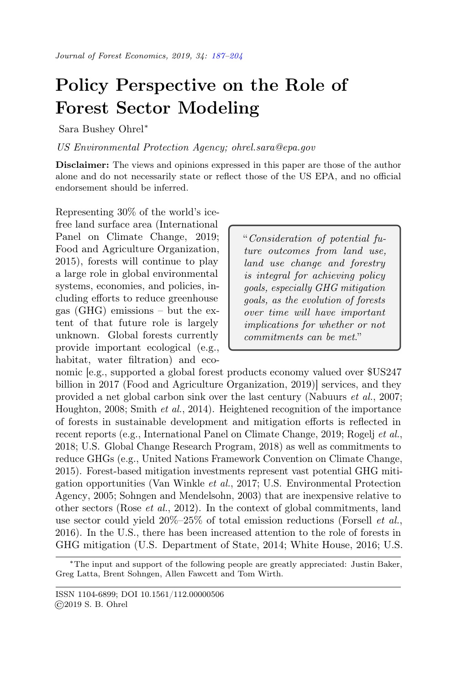## <span id="page-0-0"></span>Policy Perspective on the Role of Forest Sector Modeling

Sara Bushey Ohrel<sup>∗</sup>

US Environmental Protection Agency; ohrel.sara@epa.gov

Disclaimer: The views and opinions expressed in this paper are those of the author alone and do not necessarily state or reflect those of the US EPA, and no official endorsement should be inferred.

Representing 30% of the world's icefree land surface area (International Panel on Climate Change, 2019; Food and Agriculture Organization, 2015), forests will continue to play a large role in global environmental systems, economies, and policies, including efforts to reduce greenhouse gas (GHG) emissions – but the extent of that future role is largely unknown. Global forests currently provide important ecological (e.g., habitat, water filtration) and eco-

"Consideration of potential future outcomes from land use, land use change and forestry is integral for achieving policy goals, especially GHG mitigation goals, as the evolution of forests over time will have important implications for whether or not commitments can be met."

nomic [e.g., supported a global forest products economy valued over \$US247 billion in 2017 (Food and Agriculture Organization, 2019)] services, and they provided a net global carbon sink over the last century (Nabuurs et al., 2007; Houghton, 2008; Smith et al., 2014). Heightened recognition of the importance of forests in sustainable development and mitigation efforts is reflected in recent reports (e.g., International Panel on Climate Change, 2019; Rogelj et al., 2018; U.S. Global Change Research Program, 2018) as well as commitments to reduce GHGs (e.g., United Nations Framework Convention on Climate Change, 2015). Forest-based mitigation investments represent vast potential GHG mitigation opportunities (Van Winkle et al., 2017; U.S. Environmental Protection Agency, 2005; Sohngen and Mendelsohn, 2003) that are inexpensive relative to other sectors (Rose et al., 2012). In the context of global commitments, land use sector could yield  $20\% - 25\%$  of total emission reductions (Forsell *et al.*, 2016). In the U.S., there has been increased attention to the role of forests in GHG mitigation (U.S. Department of State, 2014; White House, 2016; U.S.

<sup>∗</sup>The input and support of the following people are greatly appreciated: Justin Baker, Greg Latta, Brent Sohngen, Allen Fawcett and Tom Wirth.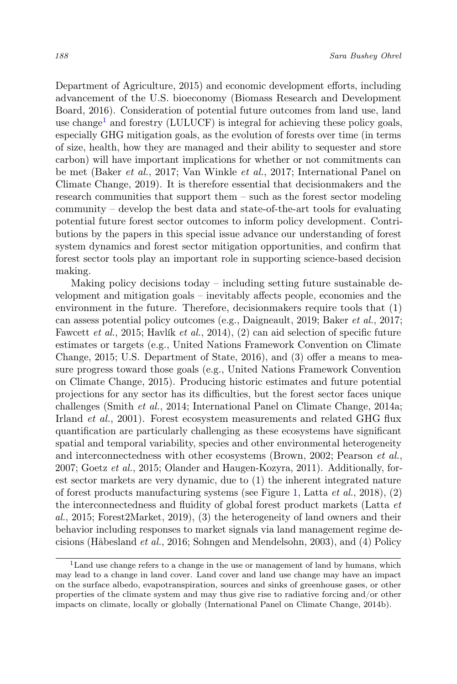Department of Agriculture, 2015) and economic development efforts, including advancement of the U.S. bioeconomy (Biomass Research and Development Board, 2016). Consideration of potential future outcomes from land use, land use change<sup>[1](#page-1-0)</sup> and forestry (LULUCF) is integral for achieving these policy goals, especially GHG mitigation goals, as the evolution of forests over time (in terms of size, health, how they are managed and their ability to sequester and store carbon) will have important implications for whether or not commitments can be met (Baker et al., 2017; Van Winkle et al., 2017; International Panel on Climate Change, 2019). It is therefore essential that decisionmakers and the research communities that support them – such as the forest sector modeling community – develop the best data and state-of-the-art tools for evaluating potential future forest sector outcomes to inform policy development. Contributions by the papers in this special issue advance our understanding of forest system dynamics and forest sector mitigation opportunities, and confirm that forest sector tools play an important role in supporting science-based decision making.

Making policy decisions today – including setting future sustainable development and mitigation goals – inevitably affects people, economies and the environment in the future. Therefore, decisionmakers require tools that (1) can assess potential policy outcomes (e.g., Daigneault, 2019; Baker et al., 2017; Fawcett et al., 2015; Havlík et al., 2014), (2) can aid selection of specific future estimates or targets (e.g., United Nations Framework Convention on Climate Change, 2015; U.S. Department of State, 2016), and (3) offer a means to measure progress toward those goals (e.g., United Nations Framework Convention on Climate Change, 2015). Producing historic estimates and future potential projections for any sector has its difficulties, but the forest sector faces unique challenges (Smith et al., 2014; International Panel on Climate Change, 2014a; Irland et al., 2001). Forest ecosystem measurements and related GHG flux quantification are particularly challenging as these ecosystems have significant spatial and temporal variability, species and other environmental heterogeneity and interconnectedness with other ecosystems (Brown, 2002; Pearson et al., 2007; Goetz et al., 2015; Olander and Haugen-Kozyra, 2011). Additionally, forest sector markets are very dynamic, due to (1) the inherent integrated nature of forest products manufacturing systems (see Figure [1,](#page-2-0) Latta *et al.*, 2018), (2) the interconnectedness and fluidity of global forest product markets (Latta et al., 2015; Forest2Market, 2019), (3) the heterogeneity of land owners and their behavior including responses to market signals via land management regime decisions (Håbesland et al., 2016; Sohngen and Mendelsohn, 2003), and (4) Policy

<span id="page-1-0"></span><sup>&</sup>lt;sup>1</sup>Land use change refers to a change in the use or management of land by humans, which may lead to a change in land cover. Land cover and land use change may have an impact on the surface albedo, evapotranspiration, sources and sinks of greenhouse gases, or other properties of the climate system and may thus give rise to radiative forcing and/or other impacts on climate, locally or globally (International Panel on Climate Change, 2014b).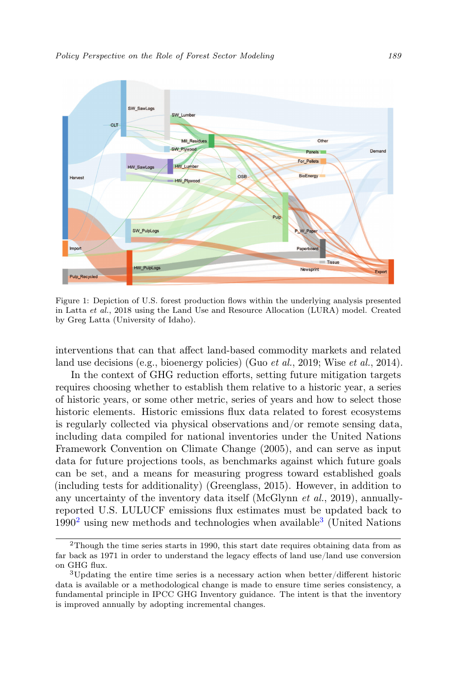<span id="page-2-0"></span>

Figure 1: Depiction of U.S. forest production flows within the underlying analysis presented in Latta et al., 2018 using the Land Use and Resource Allocation (LURA) model. Created by Greg Latta (University of Idaho).

interventions that can that affect land-based commodity markets and related land use decisions (e.g., bioenergy policies) (Guo *et al.*, 2019; Wise *et al.*, 2014).

In the context of GHG reduction efforts, setting future mitigation targets requires choosing whether to establish them relative to a historic year, a series of historic years, or some other metric, series of years and how to select those historic elements. Historic emissions flux data related to forest ecosystems is regularly collected via physical observations and/or remote sensing data, including data compiled for national inventories under the United Nations Framework Convention on Climate Change (2005), and can serve as input data for future projections tools, as benchmarks against which future goals can be set, and a means for measuring progress toward established goals (including tests for additionality) (Greenglass, 2015). However, in addition to any uncertainty of the inventory data itself (McGlynn et al., 2019), annuallyreported U.S. LULUCF emissions flux estimates must be updated back to  $1990<sup>2</sup>$  $1990<sup>2</sup>$  $1990<sup>2</sup>$  using new methods and technologies when available<sup>[3](#page-2-2)</sup> (United Nations

<span id="page-2-1"></span><sup>2</sup>Though the time series starts in 1990, this start date requires obtaining data from as far back as 1971 in order to understand the legacy effects of land use/land use conversion on GHG flux.

<span id="page-2-2"></span><sup>3</sup>Updating the entire time series is a necessary action when better/different historic data is available or a methodological change is made to ensure time series consistency, a fundamental principle in IPCC GHG Inventory guidance. The intent is that the inventory is improved annually by adopting incremental changes.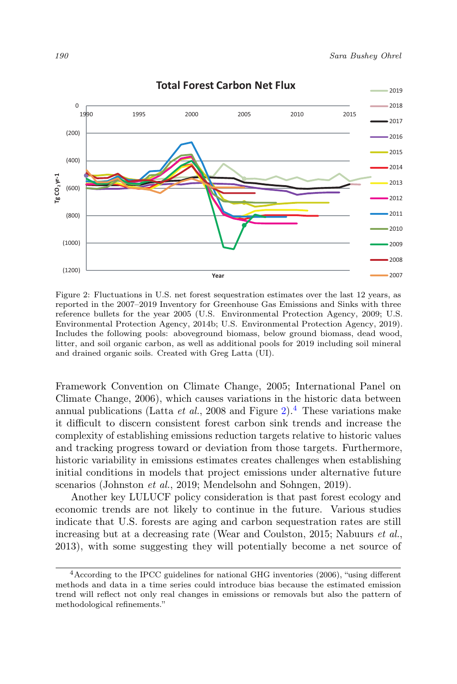<span id="page-3-0"></span>

Figure 2: Fluctuations in U.S. net forest sequestration estimates over the last 12 years, as reported in the 2007–2019 Inventory for Greenhouse Gas Emissions and Sinks with three reference bullets for the year 2005 (U.S. Environmental Protection Agency, 2009; U.S. Environmental Protection Agency, 2014b; U.S. Environmental Protection Agency, 2019). Includes the following pools: aboveground biomass, below ground biomass, dead wood, litter, and soil organic carbon, as well as additional pools for 2019 including soil mineral and drained organic soils. Created with Greg Latta (UI).

Framework Convention on Climate Change, 2005; International Panel on Climate Change, 2006), which causes variations in the historic data between annual publications (Latta *et al.*, 2008 and Figure [2\)](#page-3-0).<sup>[4](#page-3-1)</sup> These variations make it difficult to discern consistent forest carbon sink trends and increase the complexity of establishing emissions reduction targets relative to historic values and tracking progress toward or deviation from those targets. Furthermore, historic variability in emissions estimates creates challenges when establishing initial conditions in models that project emissions under alternative future scenarios (Johnston et al., 2019; Mendelsohn and Sohngen, 2019).

Another key LULUCF policy consideration is that past forest ecology and economic trends are not likely to continue in the future. Various studies indicate that U.S. forests are aging and carbon sequestration rates are still increasing but at a decreasing rate (Wear and Coulston, 2015; Nabuurs et al., 2013), with some suggesting they will potentially become a net source of

<span id="page-3-1"></span><sup>4</sup>According to the IPCC guidelines for national GHG inventories (2006), "using different methods and data in a time series could introduce bias because the estimated emission trend will reflect not only real changes in emissions or removals but also the pattern of methodological refinements."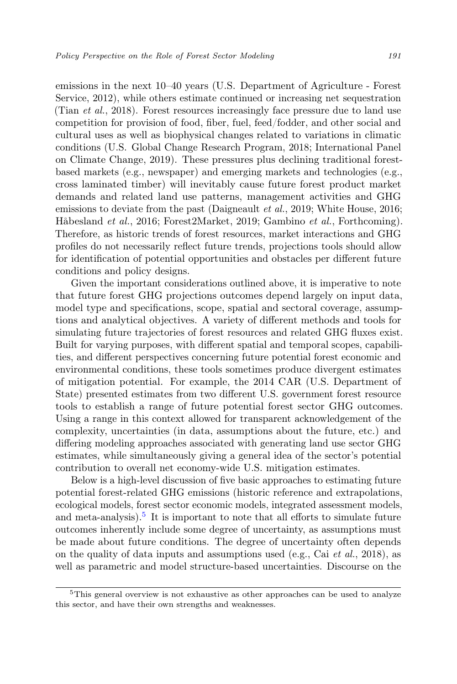emissions in the next 10–40 years (U.S. Department of Agriculture - Forest Service, 2012), while others estimate continued or increasing net sequestration (Tian et al., 2018). Forest resources increasingly face pressure due to land use competition for provision of food, fiber, fuel, feed/fodder, and other social and cultural uses as well as biophysical changes related to variations in climatic conditions (U.S. Global Change Research Program, 2018; International Panel on Climate Change, 2019). These pressures plus declining traditional forestbased markets (e.g., newspaper) and emerging markets and technologies (e.g., cross laminated timber) will inevitably cause future forest product market demands and related land use patterns, management activities and GHG emissions to deviate from the past (Daigneault *et al.*, 2019; White House, 2016; Håbesland et al., 2016; Forest2Market, 2019; Gambino et al., Forthcoming). Therefore, as historic trends of forest resources, market interactions and GHG profiles do not necessarily reflect future trends, projections tools should allow for identification of potential opportunities and obstacles per different future conditions and policy designs.

Given the important considerations outlined above, it is imperative to note that future forest GHG projections outcomes depend largely on input data, model type and specifications, scope, spatial and sectoral coverage, assumptions and analytical objectives. A variety of different methods and tools for simulating future trajectories of forest resources and related GHG fluxes exist. Built for varying purposes, with different spatial and temporal scopes, capabilities, and different perspectives concerning future potential forest economic and environmental conditions, these tools sometimes produce divergent estimates of mitigation potential. For example, the 2014 CAR (U.S. Department of State) presented estimates from two different U.S. government forest resource tools to establish a range of future potential forest sector GHG outcomes. Using a range in this context allowed for transparent acknowledgement of the complexity, uncertainties (in data, assumptions about the future, etc.) and differing modeling approaches associated with generating land use sector GHG estimates, while simultaneously giving a general idea of the sector's potential contribution to overall net economy-wide U.S. mitigation estimates.

Below is a high-level discussion of five basic approaches to estimating future potential forest-related GHG emissions (historic reference and extrapolations, ecological models, forest sector economic models, integrated assessment models, and meta-analysis).<sup>[5](#page-4-0)</sup> It is important to note that all efforts to simulate future outcomes inherently include some degree of uncertainty, as assumptions must be made about future conditions. The degree of uncertainty often depends on the quality of data inputs and assumptions used (e.g., Cai et al., 2018), as well as parametric and model structure-based uncertainties. Discourse on the

<span id="page-4-0"></span><sup>&</sup>lt;sup>5</sup>This general overview is not exhaustive as other approaches can be used to analyze this sector, and have their own strengths and weaknesses.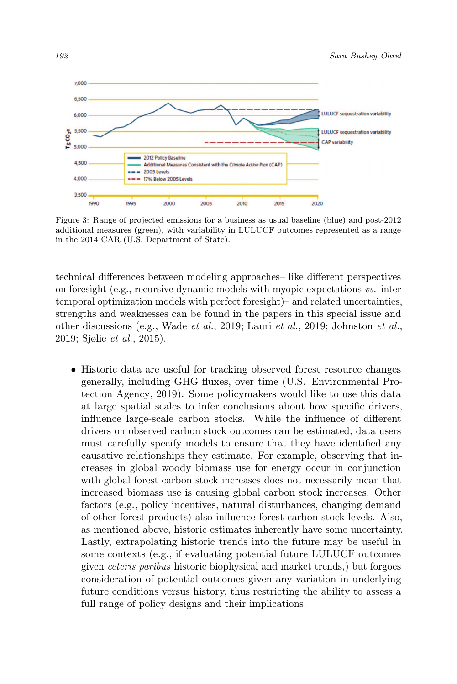

Figure 3: Range of projected emissions for a business as usual baseline (blue) and post-2012 additional measures (green), with variability in LULUCF outcomes represented as a range in the 2014 CAR (U.S. Department of State).

technical differences between modeling approaches– like different perspectives on foresight (e.g., recursive dynamic models with myopic expectations vs. inter temporal optimization models with perfect foresight)– and related uncertainties, strengths and weaknesses can be found in the papers in this special issue and other discussions (e.g., Wade et al., 2019; Lauri et al., 2019; Johnston et al., 2019; Sjølie et al., 2015).

• Historic data are useful for tracking observed forest resource changes generally, including GHG fluxes, over time (U.S. Environmental Protection Agency, 2019). Some policymakers would like to use this data at large spatial scales to infer conclusions about how specific drivers, influence large-scale carbon stocks. While the influence of different drivers on observed carbon stock outcomes can be estimated, data users must carefully specify models to ensure that they have identified any causative relationships they estimate. For example, observing that increases in global woody biomass use for energy occur in conjunction with global forest carbon stock increases does not necessarily mean that increased biomass use is causing global carbon stock increases. Other factors (e.g., policy incentives, natural disturbances, changing demand of other forest products) also influence forest carbon stock levels. Also, as mentioned above, historic estimates inherently have some uncertainty. Lastly, extrapolating historic trends into the future may be useful in some contexts (e.g., if evaluating potential future LULUCF outcomes given ceteris paribus historic biophysical and market trends,) but forgoes consideration of potential outcomes given any variation in underlying future conditions versus history, thus restricting the ability to assess a full range of policy designs and their implications.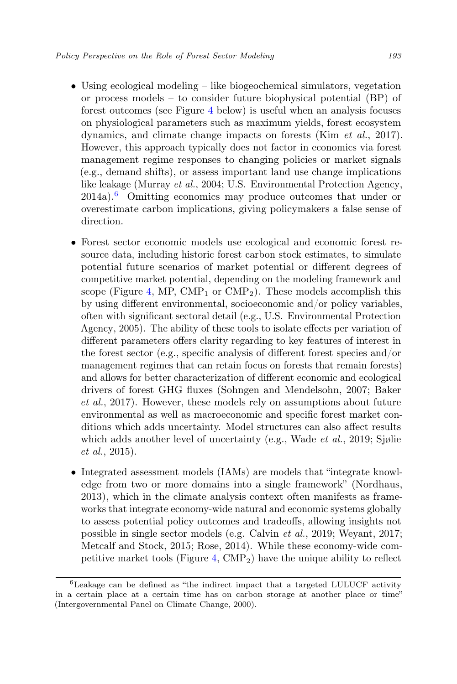- Using ecological modeling like biogeochemical simulators, vegetation or process models – to consider future biophysical potential (BP) of forest outcomes (see Figure [4](#page-8-0) below) is useful when an analysis focuses on physiological parameters such as maximum yields, forest ecosystem dynamics, and climate change impacts on forests (Kim et al., 2017). However, this approach typically does not factor in economics via forest management regime responses to changing policies or market signals (e.g., demand shifts), or assess important land use change implications like leakage (Murray et al., 2004; U.S. Environmental Protection Agency,  $2014a$ .<sup>[6](#page-6-0)</sup> Omitting economics may produce outcomes that under or overestimate carbon implications, giving policymakers a false sense of direction.
- Forest sector economic models use ecological and economic forest resource data, including historic forest carbon stock estimates, to simulate potential future scenarios of market potential or different degrees of competitive market potential, depending on the modeling framework and scope (Figure [4,](#page-8-0) MP,  $\text{CMP}_1$  or  $\text{CMP}_2$ ). These models accomplish this by using different environmental, socioeconomic and/or policy variables, often with significant sectoral detail (e.g., U.S. Environmental Protection Agency, 2005). The ability of these tools to isolate effects per variation of different parameters offers clarity regarding to key features of interest in the forest sector (e.g., specific analysis of different forest species and/or management regimes that can retain focus on forests that remain forests) and allows for better characterization of different economic and ecological drivers of forest GHG fluxes (Sohngen and Mendelsohn, 2007; Baker et al., 2017). However, these models rely on assumptions about future environmental as well as macroeconomic and specific forest market conditions which adds uncertainty. Model structures can also affect results which adds another level of uncertainty (e.g., Wade et al., 2019; Sjølie et al., 2015).
- Integrated assessment models (IAMs) are models that "integrate knowledge from two or more domains into a single framework" (Nordhaus, 2013), which in the climate analysis context often manifests as frameworks that integrate economy-wide natural and economic systems globally to assess potential policy outcomes and tradeoffs, allowing insights not possible in single sector models (e.g. Calvin et al., 2019; Weyant, 2017; Metcalf and Stock, 2015; Rose, 2014). While these economy-wide com-petitive market tools (Figure [4,](#page-8-0)  $\text{CMP}_2$ ) have the unique ability to reflect

<span id="page-6-0"></span><sup>6</sup>Leakage can be defined as "the indirect impact that a targeted LULUCF activity in a certain place at a certain time has on carbon storage at another place or time" (Intergovernmental Panel on Climate Change, 2000).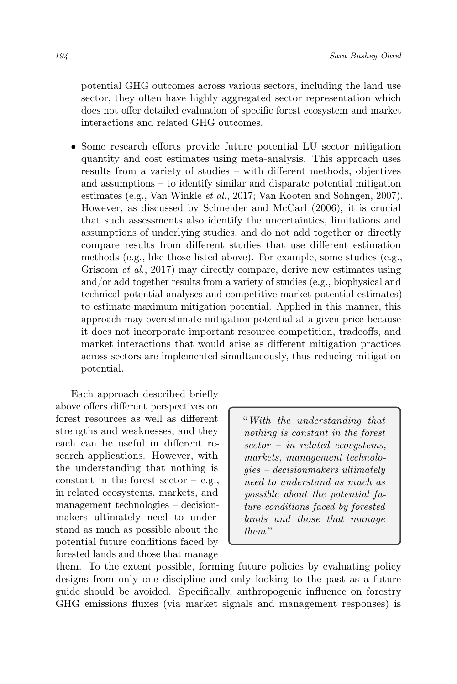potential GHG outcomes across various sectors, including the land use sector, they often have highly aggregated sector representation which does not offer detailed evaluation of specific forest ecosystem and market interactions and related GHG outcomes.

• Some research efforts provide future potential LU sector mitigation quantity and cost estimates using meta-analysis. This approach uses results from a variety of studies – with different methods, objectives and assumptions – to identify similar and disparate potential mitigation estimates (e.g., Van Winkle et al., 2017; Van Kooten and Sohngen, 2007). However, as discussed by Schneider and McCarl (2006), it is crucial that such assessments also identify the uncertainties, limitations and assumptions of underlying studies, and do not add together or directly compare results from different studies that use different estimation methods (e.g., like those listed above). For example, some studies (e.g., Griscom et al., 2017) may directly compare, derive new estimates using and/or add together results from a variety of studies (e.g., biophysical and technical potential analyses and competitive market potential estimates) to estimate maximum mitigation potential. Applied in this manner, this approach may overestimate mitigation potential at a given price because it does not incorporate important resource competition, tradeoffs, and market interactions that would arise as different mitigation practices across sectors are implemented simultaneously, thus reducing mitigation potential.

Each approach described briefly above offers different perspectives on forest resources as well as different strengths and weaknesses, and they each can be useful in different research applications. However, with the understanding that nothing is constant in the forest sector  $-e.g.,$ in related ecosystems, markets, and management technologies – decisionmakers ultimately need to understand as much as possible about the potential future conditions faced by forested lands and those that manage

"With the understanding that nothing is constant in the forest sector – in related ecosystems, markets, management technologies – decisionmakers ultimately need to understand as much as possible about the potential future conditions faced by forested lands and those that manage them."

them. To the extent possible, forming future policies by evaluating policy designs from only one discipline and only looking to the past as a future guide should be avoided. Specifically, anthropogenic influence on forestry GHG emissions fluxes (via market signals and management responses) is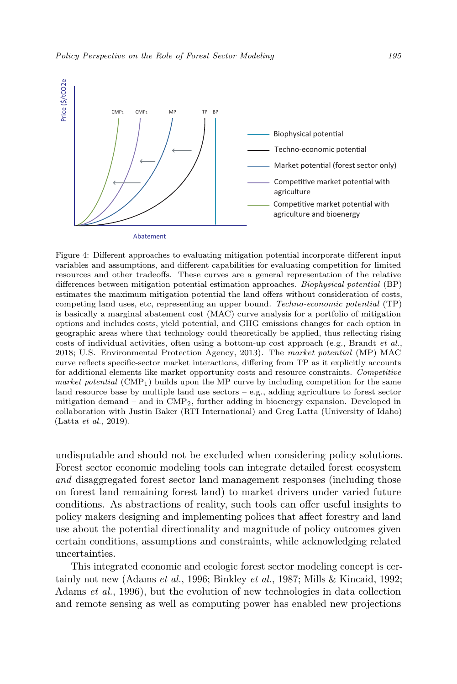<span id="page-8-0"></span>

Figure 4: Different approaches to evaluating mitigation potential incorporate different input variables and assumptions, and different capabilities for evaluating competition for limited resources and other tradeoffs. These curves are a general representation of the relative differences between mitigation potential estimation approaches. Biophysical potential (BP) estimates the maximum mitigation potential the land offers without consideration of costs, competing land uses, etc, representing an upper bound. Techno-economic potential (TP) is basically a marginal abatement cost (MAC) curve analysis for a portfolio of mitigation options and includes costs, yield potential, and GHG emissions changes for each option in geographic areas where that technology could theoretically be applied, thus reflecting rising costs of individual activities, often using a bottom-up cost approach (e.g., Brandt et al., 2018; U.S. Environmental Protection Agency, 2013). The market potential (MP) MAC curve reflects specific-sector market interactions, differing from TP as it explicitly accounts for additional elements like market opportunity costs and resource constraints. Competitive market potential  $(CMP_1)$  builds upon the MP curve by including competition for the same land resource base by multiple land use sectors  $-$  e.g., adding agriculture to forest sector mitigation demand – and in CMP2, further adding in bioenergy expansion. Developed in collaboration with Justin Baker (RTI International) and Greg Latta (University of Idaho) (Latta et al., 2019).

undisputable and should not be excluded when considering policy solutions. Forest sector economic modeling tools can integrate detailed forest ecosystem and disaggregated forest sector land management responses (including those on forest land remaining forest land) to market drivers under varied future conditions. As abstractions of reality, such tools can offer useful insights to policy makers designing and implementing polices that affect forestry and land use about the potential directionality and magnitude of policy outcomes given certain conditions, assumptions and constraints, while acknowledging related uncertainties.

This integrated economic and ecologic forest sector modeling concept is certainly not new (Adams et al., 1996; Binkley et al., 1987; Mills & Kincaid, 1992; Adams et al., 1996), but the evolution of new technologies in data collection and remote sensing as well as computing power has enabled new projections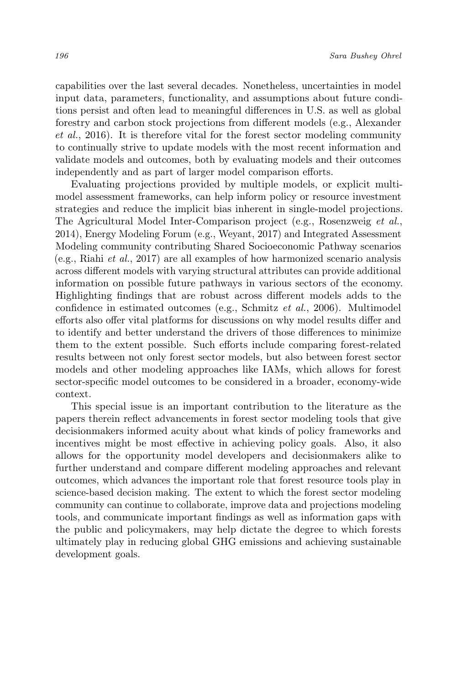capabilities over the last several decades. Nonetheless, uncertainties in model input data, parameters, functionality, and assumptions about future conditions persist and often lead to meaningful differences in U.S. as well as global forestry and carbon stock projections from different models (e.g., Alexander et al., 2016). It is therefore vital for the forest sector modeling community to continually strive to update models with the most recent information and validate models and outcomes, both by evaluating models and their outcomes independently and as part of larger model comparison efforts.

Evaluating projections provided by multiple models, or explicit multimodel assessment frameworks, can help inform policy or resource investment strategies and reduce the implicit bias inherent in single-model projections. The Agricultural Model Inter-Comparison project (e.g., Rosenzweig et al., 2014), Energy Modeling Forum (e.g., Weyant, 2017) and Integrated Assessment Modeling community contributing Shared Socioeconomic Pathway scenarios  $(e.g., Riahi et al., 2017)$  are all examples of how harmonized scenario analysis across different models with varying structural attributes can provide additional information on possible future pathways in various sectors of the economy. Highlighting findings that are robust across different models adds to the confidence in estimated outcomes (e.g., Schmitz et al., 2006). Multimodel efforts also offer vital platforms for discussions on why model results differ and to identify and better understand the drivers of those differences to minimize them to the extent possible. Such efforts include comparing forest-related results between not only forest sector models, but also between forest sector models and other modeling approaches like IAMs, which allows for forest sector-specific model outcomes to be considered in a broader, economy-wide context.

This special issue is an important contribution to the literature as the papers therein reflect advancements in forest sector modeling tools that give decisionmakers informed acuity about what kinds of policy frameworks and incentives might be most effective in achieving policy goals. Also, it also allows for the opportunity model developers and decisionmakers alike to further understand and compare different modeling approaches and relevant outcomes, which advances the important role that forest resource tools play in science-based decision making. The extent to which the forest sector modeling community can continue to collaborate, improve data and projections modeling tools, and communicate important findings as well as information gaps with the public and policymakers, may help dictate the degree to which forests ultimately play in reducing global GHG emissions and achieving sustainable development goals.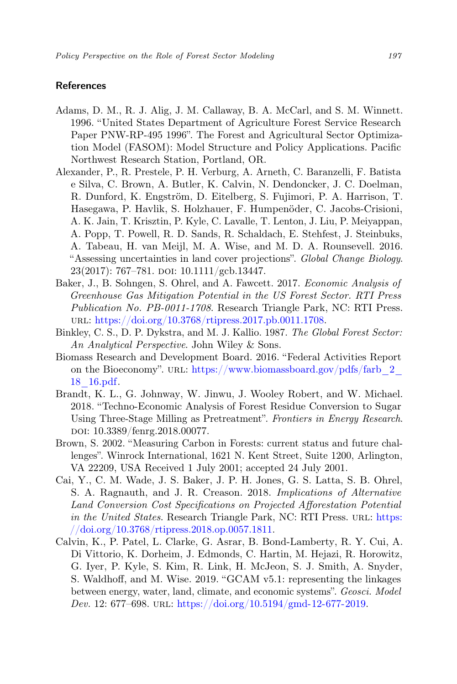## References

- Adams, D. M., R. J. Alig, J. M. Callaway, B. A. McCarl, and S. M. Winnett. 1996. "United States Department of Agriculture Forest Service Research Paper PNW-RP-495 1996". The Forest and Agricultural Sector Optimization Model (FASOM): Model Structure and Policy Applications. Pacific Northwest Research Station, Portland, OR.
- Alexander, P., R. Prestele, P. H. Verburg, A. Arneth, C. Baranzelli, F. Batista e Silva, C. Brown, A. Butler, K. Calvin, N. Dendoncker, J. C. Doelman, R. Dunford, K. Engström, D. Eitelberg, S. Fujimori, P. A. Harrison, T. Hasegawa, P. Havlik, S. Holzhauer, F. Humpenöder, C. Jacobs-Crisioni, A. K. Jain, T. Krisztin, P. Kyle, C. Lavalle, T. Lenton, J. Liu, P. Meiyappan, A. Popp, T. Powell, R. D. Sands, R. Schaldach, E. Stehfest, J. Steinbuks, A. Tabeau, H. van Meijl, M. A. Wise, and M. D. A. Rounsevell. 2016. "Assessing uncertainties in land cover projections". Global Change Biology.  $23(2017)$ : 767–781. doi:  $10.1111/\text{gcb}.13447$ .
- Baker, J., B. Sohngen, S. Ohrel, and A. Fawcett. 2017. Economic Analysis of Greenhouse Gas Mitigation Potential in the US Forest Sector. RTI Press Publication No. PB-0011-1708. Research Triangle Park, NC: RTI Press. url: [https://doi.org/10.3768/rtipress.2017.pb.0011.1708.](https://doi.org/10.3768/rtipress.2017.pb.0011.1708)
- Binkley, C. S., D. P. Dykstra, and M. J. Kallio. 1987. The Global Forest Sector: An Analytical Perspective. John Wiley & Sons.
- Biomass Research and Development Board. 2016. "Federal Activities Report on the Bioeconomy". URL: [https://www.biomassboard.gov/pdfs/farb\\_2\\_](https://www.biomassboard.gov/pdfs/farb_2_18_16.pdf) [18\\_16.pdf.](https://www.biomassboard.gov/pdfs/farb_2_18_16.pdf)
- Brandt, K. L., G. Johnway, W. Jinwu, J. Wooley Robert, and W. Michael. 2018. "Techno-Economic Analysis of Forest Residue Conversion to Sugar Using Three-Stage Milling as Pretreatment". Frontiers in Energy Research. doi: 10.3389/fenrg.2018.00077.
- Brown, S. 2002. "Measuring Carbon in Forests: current status and future challenges". Winrock International, 1621 N. Kent Street, Suite 1200, Arlington, VA 22209, USA Received 1 July 2001; accepted 24 July 2001.
- Cai, Y., C. M. Wade, J. S. Baker, J. P. H. Jones, G. S. Latta, S. B. Ohrel, S. A. Ragnauth, and J. R. Creason. 2018. Implications of Alternative Land Conversion Cost Specifications on Projected Afforestation Potential in the United States. Research Triangle Park, NC: RTI Press. URL: [https:](https://doi.org/10.3768/rtipress.2018.op.0057.1811) [//doi.org/10.3768/rtipress.2018.op.0057.1811.](https://doi.org/10.3768/rtipress.2018.op.0057.1811)
- Calvin, K., P. Patel, L. Clarke, G. Asrar, B. Bond-Lamberty, R. Y. Cui, A. Di Vittorio, K. Dorheim, J. Edmonds, C. Hartin, M. Hejazi, R. Horowitz, G. Iyer, P. Kyle, S. Kim, R. Link, H. McJeon, S. J. Smith, A. Snyder, S. Waldhoff, and M. Wise. 2019. "GCAM v5.1: representing the linkages between energy, water, land, climate, and economic systems". Geosci. Model Dev. 12: 677–698. URL: [https://doi.org/10.5194/gmd-12-677-2019.](https://doi.org/10.5194/gmd-12-677-2019)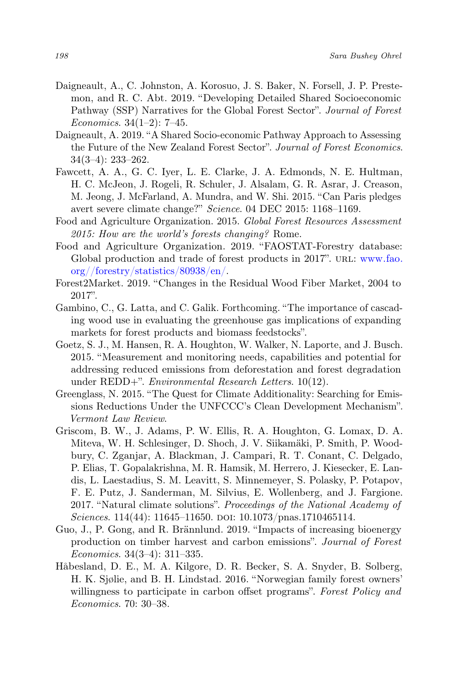- Daigneault, A., C. Johnston, A. Korosuo, J. S. Baker, N. Forsell, J. P. Prestemon, and R. C. Abt. 2019. "Developing Detailed Shared Socioeconomic Pathway (SSP) Narratives for the Global Forest Sector". Journal of Forest Economics. 34(1–2): 7–45.
- Daigneault, A. 2019. "A Shared Socio-economic Pathway Approach to Assessing the Future of the New Zealand Forest Sector". Journal of Forest Economics. 34(3–4): 233–262.
- Fawcett, A. A., G. C. Iyer, L. E. Clarke, J. A. Edmonds, N. E. Hultman, H. C. McJeon, J. Rogeli, R. Schuler, J. Alsalam, G. R. Asrar, J. Creason, M. Jeong, J. McFarland, A. Mundra, and W. Shi. 2015. "Can Paris pledges avert severe climate change?" Science. 04 DEC 2015: 1168–1169.
- Food and Agriculture Organization. 2015. Global Forest Resources Assessment 2015: How are the world's forests changing? Rome.
- Food and Agriculture Organization. 2019. "FAOSTAT-Forestry database: Global production and trade of forest products in 2017". URL: [www.fao.](www.fao.org//forestry/statistics/80938/en/) [org//forestry/statistics/80938/en/.](www.fao.org//forestry/statistics/80938/en/)
- Forest2Market. 2019. "Changes in the Residual Wood Fiber Market, 2004 to 2017".
- Gambino, C., G. Latta, and C. Galik. Forthcoming. "The importance of cascading wood use in evaluating the greenhouse gas implications of expanding markets for forest products and biomass feedstocks".
- Goetz, S. J., M. Hansen, R. A. Houghton, W. Walker, N. Laporte, and J. Busch. 2015. "Measurement and monitoring needs, capabilities and potential for addressing reduced emissions from deforestation and forest degradation under REDD+". Environmental Research Letters. 10(12).
- Greenglass, N. 2015. "The Quest for Climate Additionality: Searching for Emissions Reductions Under the UNFCCC's Clean Development Mechanism". Vermont Law Review.
- Griscom, B. W., J. Adams, P. W. Ellis, R. A. Houghton, G. Lomax, D. A. Miteva, W. H. Schlesinger, D. Shoch, J. V. Siikamäki, P. Smith, P. Woodbury, C. Zganjar, A. Blackman, J. Campari, R. T. Conant, C. Delgado, P. Elias, T. Gopalakrishna, M. R. Hamsik, M. Herrero, J. Kiesecker, E. Landis, L. Laestadius, S. M. Leavitt, S. Minnemeyer, S. Polasky, P. Potapov, F. E. Putz, J. Sanderman, M. Silvius, E. Wollenberg, and J. Fargione. 2017. "Natural climate solutions". Proceedings of the National Academy of Sciences. 114(44): 11645–11650. doi: 10.1073/pnas.1710465114.
- Guo, J., P. Gong, and R. Brännlund. 2019. "Impacts of increasing bioenergy production on timber harvest and carbon emissions". Journal of Forest Economics. 34(3–4): 311–335.
- Håbesland, D. E., M. A. Kilgore, D. R. Becker, S. A. Snyder, B. Solberg, H. K. Sjølie, and B. H. Lindstad. 2016. "Norwegian family forest owners' willingness to participate in carbon offset programs". Forest Policy and Economics. 70: 30–38.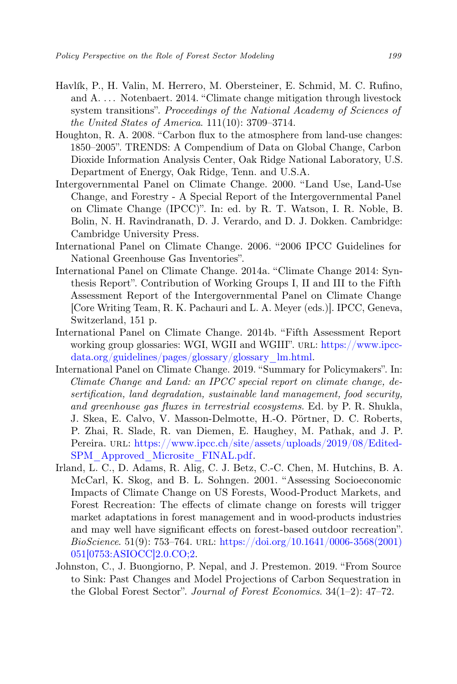- Havlík, P., H. Valin, M. Herrero, M. Obersteiner, E. Schmid, M. C. Rufino, and A. . . . Notenbaert. 2014. "Climate change mitigation through livestock system transitions". Proceedings of the National Academy of Sciences of the United States of America. 111(10): 3709–3714.
- Houghton, R. A. 2008. "Carbon flux to the atmosphere from land-use changes: 1850–2005". TRENDS: A Compendium of Data on Global Change, Carbon Dioxide Information Analysis Center, Oak Ridge National Laboratory, U.S. Department of Energy, Oak Ridge, Tenn. and U.S.A.
- Intergovernmental Panel on Climate Change. 2000. "Land Use, Land-Use Change, and Forestry - A Special Report of the Intergovernmental Panel on Climate Change (IPCC)". In: ed. by R. T. Watson, I. R. Noble, B. Bolin, N. H. Ravindranath, D. J. Verardo, and D. J. Dokken. Cambridge: Cambridge University Press.
- International Panel on Climate Change. 2006. "2006 IPCC Guidelines for National Greenhouse Gas Inventories".
- International Panel on Climate Change. 2014a. "Climate Change 2014: Synthesis Report". Contribution of Working Groups I, II and III to the Fifth Assessment Report of the Intergovernmental Panel on Climate Change [Core Writing Team, R. K. Pachauri and L. A. Meyer (eds.)]. IPCC, Geneva, Switzerland, 151 p.
- International Panel on Climate Change. 2014b. "Fifth Assessment Report working group glossaries: WGI, WGII and WGIII". URL: [https://www.ipcc](https://www.ipcc-data.org/guidelines/pages/glossary/glossary_lm.html)[data.org/guidelines/pages/glossary/glossary\\_lm.html.](https://www.ipcc-data.org/guidelines/pages/glossary/glossary_lm.html)
- International Panel on Climate Change. 2019. "Summary for Policymakers". In: Climate Change and Land: an IPCC special report on climate change, desertification, land degradation, sustainable land management, food security, and greenhouse gas fluxes in terrestrial ecosystems. Ed. by P. R. Shukla, J. Skea, E. Calvo, V. Masson-Delmotte, H.-O. Pörtner, D. C. Roberts, P. Zhai, R. Slade, R. van Diemen, E. Haughey, M. Pathak, and J. P. Pereira. url: [https://www.ipcc.ch/site/assets/uploads/2019/08/Edited-](https://www.ipcc.ch/site/assets/uploads/2019/08/Edited-SPM_Approved_Microsite_FINAL.pdf)[SPM\\_Approved\\_Microsite\\_FINAL.pdf.](https://www.ipcc.ch/site/assets/uploads/2019/08/Edited-SPM_Approved_Microsite_FINAL.pdf)
- Irland, L. C., D. Adams, R. Alig, C. J. Betz, C.-C. Chen, M. Hutchins, B. A. McCarl, K. Skog, and B. L. Sohngen. 2001. "Assessing Socioeconomic Impacts of Climate Change on US Forests, Wood-Product Markets, and Forest Recreation: The effects of climate change on forests will trigger market adaptations in forest management and in wood-products industries and may well have significant effects on forest-based outdoor recreation".  $BioScience. 51(9): 753–764. \text{ URL: [BioScience. 51\(9\): 753–764. \text{ URL: \[BioScience. 51\\(9\\): 753–764. \text{ URL: <a href="https://doi.org/10.1641/0006-3568\\(2001\\)</a>\]\(https://doi.org/10.1641/0006-3568\(2001\)</a></math><math display=\)](https://doi.org/10.1641/0006-3568(2001)</a></math><math display=)$ [051\[0753:ASIOCC\]2.0.CO;2.](https://doi.org/10.1641/0006-3568(2001)051[0753:ASIOCC]2.0.CO;2)
- Johnston, C., J. Buongiorno, P. Nepal, and J. Prestemon. 2019. "From Source to Sink: Past Changes and Model Projections of Carbon Sequestration in the Global Forest Sector". Journal of Forest Economics. 34(1–2): 47–72.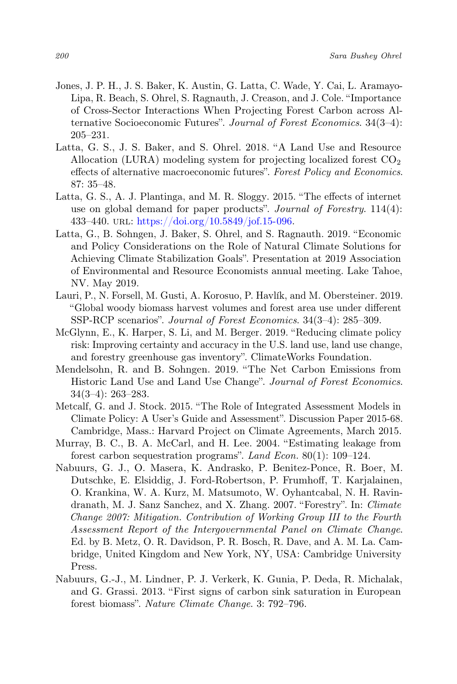- Jones, J. P. H., J. S. Baker, K. Austin, G. Latta, C. Wade, Y. Cai, L. Aramayo-Lipa, R. Beach, S. Ohrel, S. Ragnauth, J. Creason, and J. Cole. "Importance of Cross-Sector Interactions When Projecting Forest Carbon across Alternative Socioeconomic Futures". Journal of Forest Economics. 34(3–4): 205–231.
- Latta, G. S., J. S. Baker, and S. Ohrel. 2018. "A Land Use and Resource Allocation (LURA) modeling system for projecting localized forest  $CO<sub>2</sub>$ effects of alternative macroeconomic futures". Forest Policy and Economics. 87: 35–48.
- Latta, G. S., A. J. Plantinga, and M. R. Sloggy. 2015. "The effects of internet use on global demand for paper products". Journal of Forestry. 114(4): 433–440. url: [https://doi.org/10.5849/jof.15-096.](https://doi.org/10.5849/jof.15-096)
- Latta, G., B. Sohngen, J. Baker, S. Ohrel, and S. Ragnauth. 2019. "Economic and Policy Considerations on the Role of Natural Climate Solutions for Achieving Climate Stabilization Goals". Presentation at 2019 Association of Environmental and Resource Economists annual meeting. Lake Tahoe, NV. May 2019.
- Lauri, P., N. Forsell, M. Gusti, A. Korosuo, P. Havlík, and M. Obersteiner. 2019. "Global woody biomass harvest volumes and forest area use under different SSP-RCP scenarios". Journal of Forest Economics. 34(3–4): 285–309.
- McGlynn, E., K. Harper, S. Li, and M. Berger. 2019. "Reducing climate policy risk: Improving certainty and accuracy in the U.S. land use, land use change, and forestry greenhouse gas inventory". ClimateWorks Foundation.
- Mendelsohn, R. and B. Sohngen. 2019. "The Net Carbon Emissions from Historic Land Use and Land Use Change". Journal of Forest Economics. 34(3–4): 263–283.
- Metcalf, G. and J. Stock. 2015. "The Role of Integrated Assessment Models in Climate Policy: A User's Guide and Assessment". Discussion Paper 2015-68. Cambridge, Mass.: Harvard Project on Climate Agreements, March 2015.
- Murray, B. C., B. A. McCarl, and H. Lee. 2004. "Estimating leakage from forest carbon sequestration programs". Land Econ. 80(1): 109–124.
- Nabuurs, G. J., O. Masera, K. Andrasko, P. Benitez-Ponce, R. Boer, M. Dutschke, E. Elsiddig, J. Ford-Robertson, P. Frumhoff, T. Karjalainen, O. Krankina, W. A. Kurz, M. Matsumoto, W. Oyhantcabal, N. H. Ravindranath, M. J. Sanz Sanchez, and X. Zhang. 2007. "Forestry". In: Climate Change 2007: Mitigation. Contribution of Working Group III to the Fourth Assessment Report of the Intergovernmental Panel on Climate Change. Ed. by B. Metz, O. R. Davidson, P. R. Bosch, R. Dave, and A. M. La. Cambridge, United Kingdom and New York, NY, USA: Cambridge University Press.
- Nabuurs, G.-J., M. Lindner, P. J. Verkerk, K. Gunia, P. Deda, R. Michalak, and G. Grassi. 2013. "First signs of carbon sink saturation in European forest biomass". Nature Climate Change. 3: 792–796.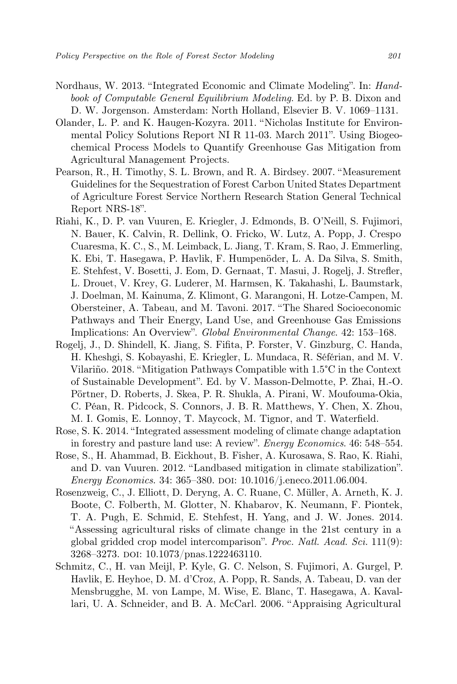- Nordhaus, W. 2013. "Integrated Economic and Climate Modeling". In: Handbook of Computable General Equilibrium Modeling. Ed. by P. B. Dixon and D. W. Jorgenson. Amsterdam: North Holland, Elsevier B. V. 1069–1131.
- Olander, L. P. and K. Haugen-Kozyra. 2011. "Nicholas Institute for Environmental Policy Solutions Report NI R 11-03. March 2011". Using Biogeochemical Process Models to Quantify Greenhouse Gas Mitigation from Agricultural Management Projects.
- Pearson, R., H. Timothy, S. L. Brown, and R. A. Birdsey. 2007. "Measurement Guidelines for the Sequestration of Forest Carbon United States Department of Agriculture Forest Service Northern Research Station General Technical Report NRS-18".
- Riahi, K., D. P. van Vuuren, E. Kriegler, J. Edmonds, B. O'Neill, S. Fujimori, N. Bauer, K. Calvin, R. Dellink, O. Fricko, W. Lutz, A. Popp, J. Crespo Cuaresma, K. C., S., M. Leimback, L. Jiang, T. Kram, S. Rao, J. Emmerling, K. Ebi, T. Hasegawa, P. Havlik, F. Humpenöder, L. A. Da Silva, S. Smith, E. Stehfest, V. Bosetti, J. Eom, D. Gernaat, T. Masui, J. Rogelj, J. Strefler, L. Drouet, V. Krey, G. Luderer, M. Harmsen, K. Takahashi, L. Baumstark, J. Doelman, M. Kainuma, Z. Klimont, G. Marangoni, H. Lotze-Campen, M. Obersteiner, A. Tabeau, and M. Tavoni. 2017. "The Shared Socioeconomic Pathways and Their Energy, Land Use, and Greenhouse Gas Emissions Implications: An Overview". Global Environmental Change. 42: 153–168.
- Rogelj, J., D. Shindell, K. Jiang, S. Fifita, P. Forster, V. Ginzburg, C. Handa, H. Kheshgi, S. Kobayashi, E. Kriegler, L. Mundaca, R. Séférian, and M. V. Vilariño. 2018. "Mitigation Pathways Compatible with 1.5°C in the Context of Sustainable Development". Ed. by V. Masson-Delmotte, P. Zhai, H.-O. Pörtner, D. Roberts, J. Skea, P. R. Shukla, A. Pirani, W. Moufouma-Okia, C. Péan, R. Pidcock, S. Connors, J. B. R. Matthews, Y. Chen, X. Zhou, M. I. Gomis, E. Lonnoy, T. Maycock, M. Tignor, and T. Waterfield.
- Rose, S. K. 2014. "Integrated assessment modeling of climate change adaptation in forestry and pasture land use: A review". Energy Economics. 46: 548–554.
- Rose, S., H. Ahammad, B. Eickhout, B. Fisher, A. Kurosawa, S. Rao, K. Riahi, and D. van Vuuren. 2012. "Landbased mitigation in climate stabilization". Energy Economics. 34: 365–380. DOI: 10.1016/j.eneco.2011.06.004.
- Rosenzweig, C., J. Elliott, D. Deryng, A. C. Ruane, C. Müller, A. Arneth, K. J. Boote, C. Folberth, M. Glotter, N. Khabarov, K. Neumann, F. Piontek, T. A. Pugh, E. Schmid, E. Stehfest, H. Yang, and J. W. Jones. 2014. "Assessing agricultural risks of climate change in the 21st century in a global gridded crop model intercomparison". Proc. Natl. Acad. Sci. 111(9): 3268–3273. doi: 10.1073/pnas.1222463110.
- Schmitz, C., H. van Meijl, P. Kyle, G. C. Nelson, S. Fujimori, A. Gurgel, P. Havlik, E. Heyhoe, D. M. d'Croz, A. Popp, R. Sands, A. Tabeau, D. van der Mensbrugghe, M. von Lampe, M. Wise, E. Blanc, T. Hasegawa, A. Kavallari, U. A. Schneider, and B. A. McCarl. 2006. "Appraising Agricultural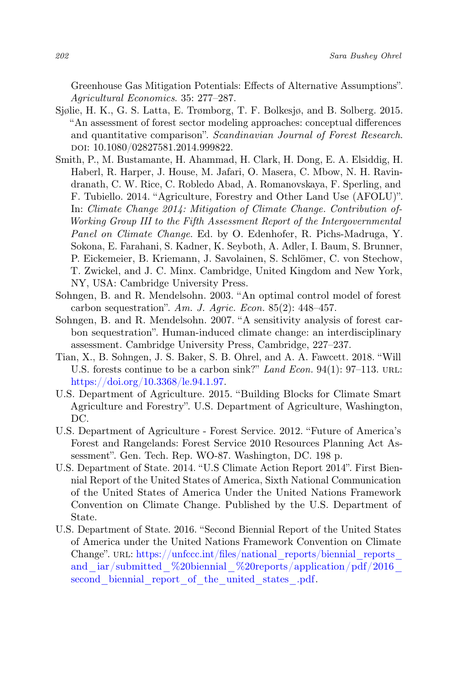Greenhouse Gas Mitigation Potentials: Effects of Alternative Assumptions". Agricultural Economics. 35: 277–287.

- Sjølie, H. K., G. S. Latta, E. Trømborg, T. F. Bolkesjø, and B. Solberg. 2015. "An assessment of forest sector modeling approaches: conceptual differences and quantitative comparison". Scandinavian Journal of Forest Research. doi: 10.1080/02827581.2014.999822.
- Smith, P., M. Bustamante, H. Ahammad, H. Clark, H. Dong, E. A. Elsiddig, H. Haberl, R. Harper, J. House, M. Jafari, O. Masera, C. Mbow, N. H. Ravindranath, C. W. Rice, C. Robledo Abad, A. Romanovskaya, F. Sperling, and F. Tubiello. 2014. "Agriculture, Forestry and Other Land Use (AFOLU)". In: Climate Change 2014: Mitigation of Climate Change. Contribution of-Working Group III to the Fifth Assessment Report of the Intergovernmental Panel on Climate Change. Ed. by O. Edenhofer, R. Pichs-Madruga, Y. Sokona, E. Farahani, S. Kadner, K. Seyboth, A. Adler, I. Baum, S. Brunner, P. Eickemeier, B. Kriemann, J. Savolainen, S. Schlömer, C. von Stechow, T. Zwickel, and J. C. Minx. Cambridge, United Kingdom and New York, NY, USA: Cambridge University Press.
- Sohngen, B. and R. Mendelsohn. 2003. "An optimal control model of forest carbon sequestration". Am. J. Agric. Econ. 85(2): 448–457.
- Sohngen, B. and R. Mendelsohn. 2007. "A sensitivity analysis of forest carbon sequestration". Human-induced climate change: an interdisciplinary assessment. Cambridge University Press, Cambridge, 227–237.
- Tian, X., B. Sohngen, J. S. Baker, S. B. Ohrel, and A. A. Fawcett. 2018. "Will U.S. forests continue to be a carbon sink?" Land Econ. 94(1): 97-113. URL: [https://doi.org/10.3368/le.94.1.97.](https://doi.org/10.3368/le.94.1.97)
- U.S. Department of Agriculture. 2015. "Building Blocks for Climate Smart Agriculture and Forestry". U.S. Department of Agriculture, Washington, DC.
- U.S. Department of Agriculture Forest Service. 2012. "Future of America's Forest and Rangelands: Forest Service 2010 Resources Planning Act Assessment". Gen. Tech. Rep. WO-87. Washington, DC. 198 p.
- U.S. Department of State. 2014. "U.S Climate Action Report 2014". First Biennial Report of the United States of America, Sixth National Communication of the United States of America Under the United Nations Framework Convention on Climate Change. Published by the U.S. Department of State.
- U.S. Department of State. 2016. "Second Biennial Report of the United States of America under the United Nations Framework Convention on Climate Change". URL: https://unfccc.int/files/national\_reports/biennial\_reports and iar/submitted %20biennial %20reports/application/pdf/2016 second biennial report of the united states .pdf.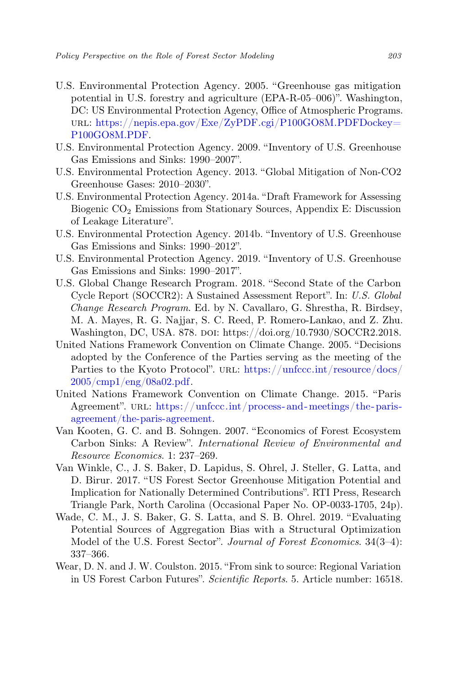- U.S. Environmental Protection Agency. 2005. "Greenhouse gas mitigation potential in U.S. forestry and agriculture (EPA-R-05–006)". Washington, DC: US Environmental Protection Agency, Office of Atmospheric Programs. url: [https://nepis.epa.gov/Exe/ZyPDF.cgi/P100GO8M.PDFDockey=](https://nepis.epa.gov/Exe/ZyPDF.cgi/P100GO8M.PDFDockey=P100GO8M.PDF) [P100GO8M.PDF.](https://nepis.epa.gov/Exe/ZyPDF.cgi/P100GO8M.PDFDockey=P100GO8M.PDF)
- U.S. Environmental Protection Agency. 2009. "Inventory of U.S. Greenhouse Gas Emissions and Sinks: 1990–2007".
- U.S. Environmental Protection Agency. 2013. "Global Mitigation of Non-CO2 Greenhouse Gases: 2010–2030".
- U.S. Environmental Protection Agency. 2014a. "Draft Framework for Assessing Biogenic  $CO<sub>2</sub>$  Emissions from Stationary Sources, Appendix E: Discussion of Leakage Literature".
- U.S. Environmental Protection Agency. 2014b. "Inventory of U.S. Greenhouse Gas Emissions and Sinks: 1990–2012".
- U.S. Environmental Protection Agency. 2019. "Inventory of U.S. Greenhouse Gas Emissions and Sinks: 1990–2017".
- U.S. Global Change Research Program. 2018. "Second State of the Carbon Cycle Report (SOCCR2): A Sustained Assessment Report". In: U.S. Global Change Research Program. Ed. by N. Cavallaro, G. Shrestha, R. Birdsey, M. A. Mayes, R. G. Najjar, S. C. Reed, P. Romero-Lankao, and Z. Zhu. Washington, DC, USA. 878. doi: https://doi.org/10.7930/SOCCR2.2018.
- United Nations Framework Convention on Climate Change. 2005. "Decisions adopted by the Conference of the Parties serving as the meeting of the Parties to the Kyoto Protocol". URL: [https://unfccc.int/resource/docs/](https://unfccc.int/resource/docs/2005/cmp1/eng/08a02.pdf) [2005/cmp1/eng/08a02.pdf.](https://unfccc.int/resource/docs/2005/cmp1/eng/08a02.pdf)
- United Nations Framework Convention on Climate Change. 2015. "Paris Agreement". URL: https://unfccc.int/process-and-meetings/the-paris[agreement/the-paris-agreement.](https://unfccc.int/process-and-meetings/the-paris-agreement/the-paris-agreement)
- Van Kooten, G. C. and B. Sohngen. 2007. "Economics of Forest Ecosystem Carbon Sinks: A Review". International Review of Environmental and Resource Economics. 1: 237–269.
- Van Winkle, C., J. S. Baker, D. Lapidus, S. Ohrel, J. Steller, G. Latta, and D. Birur. 2017. "US Forest Sector Greenhouse Mitigation Potential and Implication for Nationally Determined Contributions". RTI Press, Research Triangle Park, North Carolina (Occasional Paper No. OP-0033-1705, 24p).
- Wade, C. M., J. S. Baker, G. S. Latta, and S. B. Ohrel. 2019. "Evaluating Potential Sources of Aggregation Bias with a Structural Optimization Model of the U.S. Forest Sector". Journal of Forest Economics. 34(3–4): 337–366.
- Wear, D. N. and J. W. Coulston. 2015. "From sink to source: Regional Variation in US Forest Carbon Futures". Scientific Reports. 5. Article number: 16518.